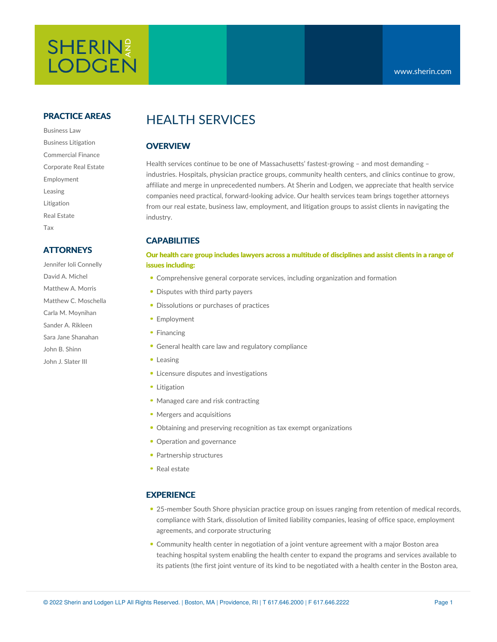# SHERIN? **LODGEN**

#### **PRACTICE AREAS**

Business Law Business Litigation Commercial Finance Corporate Real Estate Employment Leasing Litigation Real Estate Tax

### **ATTORNEYS**

Jennifer Ioli Connelly David A. Michel Matthew A. Morris Matthew C. Moschella Carla M. Moynihan Sander A. Rikleen Sara Jane Shanahan John B. Shinn John J. Slater III

# HEALTH SERVICES

# **OVERVIEW**

Health services continue to be one of Massachusetts' fastest-growing – and most demanding – industries. Hospitals, physician practice groups, community health centers, and clinics continue to grow, affiliate and merge in unprecedented numbers. At Sherin and Lodgen, we appreciate that health service companies need practical, forward-looking advice. Our health services team brings together attorneys from our real estate, business law, employment, and litigation groups to assist clients in navigating the industry.

# **CAPABILITIES**

#### Our health care group includes lawyers across a multitude of disciplines and assist clients in a range of **issues including:**

- Comprehensive general [corporate](https://www.sherin.com/practice-areas/business-law/) services, including organization and formation
- Disputes with third party payers
- Dissolutions or purchases of practices
- [Employment](https://www.sherin.com/practice-areas/employment/)
- [Financing](https://www.sherin.com/practice-areas/commercial-finance/)
- General health care law and regulatory compliance
- [Leasing](https://www.sherin.com/practice-areas/real-estate/leasing/)
- Licensure disputes and investigations
- [Litigation](https://www.sherin.com/practice-areas/litigation/)
- Managed care and risk contracting
- Mergers and acquisitions
- Obtaining and preserving recognition as tax exempt organizations
- Operation and governance
- Partnership structures
- Real [estate](https://www.sherin.com/practice-areas/real-estate/)

### **EXPERIENCE**

- 25-member South Shore physician practice group on issues ranging from retention of medical records, compliance with Stark, dissolution of limited liability companies, leasing of office space, employment agreements, and corporate structuring
- Community health center in negotiation of a joint venture agreement with a major Boston area teaching hospital system enabling the health center to expand the programs and services available to its patients (the first joint venture of its kind to be negotiated with a health center in the Boston area,